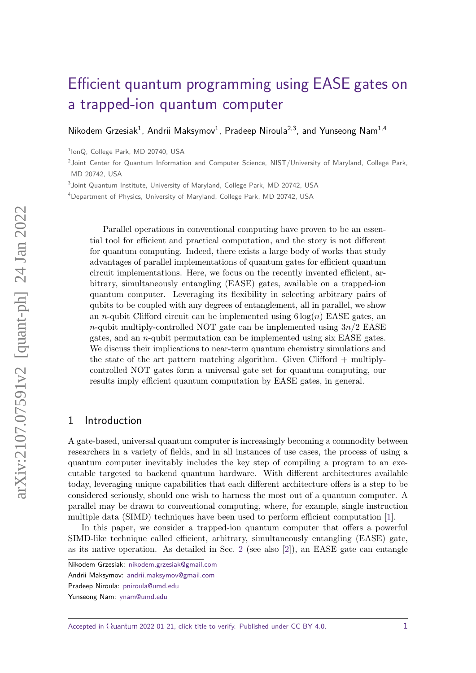# [Efficient quantum programming using EASE gates on](https://quantum-journal.org/?s=Efficient%20quantum%20programming%20using%20EASE%20gates%20on%20a%20trapped-ion%20quantum%20computer&reason=title-click) [a trapped-ion quantum computer](https://quantum-journal.org/?s=Efficient%20quantum%20programming%20using%20EASE%20gates%20on%20a%20trapped-ion%20quantum%20computer&reason=title-click)

[Nikodem Grzesiak](https://orcid.org/0000-0002-9016-2673)<sup>1</sup>, [Andrii Maksymov](https://orcid.org/0000-0002-8244-2851)<sup>1</sup>, [Pradeep Niroula](https://orcid.org/0000-0001-8941-7774)<sup>2,3</sup>, and [Yunseong Nam](https://orcid.org/0000-0002-2742-3447)<sup>1,4</sup>

<sup>1</sup>lonQ, College Park, MD 20740, USA

<sup>2</sup> Joint Center for Quantum Information and Computer Science, NIST/University of Maryland, College Park, MD 20742, USA

<sup>3</sup> Joint Quantum Institute, University of Maryland, College Park, MD 20742, USA

<sup>4</sup>Department of Physics, University of Maryland, College Park, MD 20742, USA

Parallel operations in conventional computing have proven to be an essential tool for efficient and practical computation, and the story is not different for quantum computing. Indeed, there exists a large body of works that study advantages of parallel implementations of quantum gates for efficient quantum circuit implementations. Here, we focus on the recently invented efficient, arbitrary, simultaneously entangling (EASE) gates, available on a trapped-ion quantum computer. Leveraging its flexibility in selecting arbitrary pairs of qubits to be coupled with any degrees of entanglement, all in parallel, we show an *n*-qubit Clifford circuit can be implemented using  $6 \log(n)$  EASE gates, an *n*-qubit multiply-controlled NOT gate can be implemented using 3*n/*2 EASE gates, and an *n*-qubit permutation can be implemented using six EASE gates. We discuss their implications to near-term quantum chemistry simulations and the state of the art pattern matching algorithm. Given Clifford + multiplycontrolled NOT gates form a universal gate set for quantum computing, our results imply efficient quantum computation by EASE gates, in general.

#### 1 Introduction

A gate-based, universal quantum computer is increasingly becoming a commodity between researchers in a variety of fields, and in all instances of use cases, the process of using a quantum computer inevitably includes the key step of compiling a program to an executable targeted to backend quantum hardware. With different architectures available today, leveraging unique capabilities that each different architecture offers is a step to be considered seriously, should one wish to harness the most out of a quantum computer. A parallel may be drawn to conventional computing, where, for example, single instruction multiple data (SIMD) techniques have been used to perform efficient computation [\[1\]](#page-8-0).

In this paper, we consider a trapped-ion quantum computer that offers a powerful SIMD-like technique called efficient, arbitrary, simultaneously entangling (EASE) gate, as its native operation. As detailed in Sec. [2](#page-1-0) (see also [\[2\]](#page-8-1)), an EASE gate can entangle

Nikodem Grzesiak: [nikodem.grzesiak@gmail.com](mailto:nikodem.grzesiak@gmail.com)

Andrii Maksymov: [andrii.maksymov@gmail.com](mailto:andrii.maksymov@gmail.com)

Pradeep Niroula: [pniroula@umd.edu](mailto:pniroula@umd.edu)

Yunseong Nam: [ynam@umd.edu](mailto:ynam@umd.edu)

Accepted in  $\lambda$ uantum 2022-01-21, click title to verify. Published under CC-BY 4.0.  $1$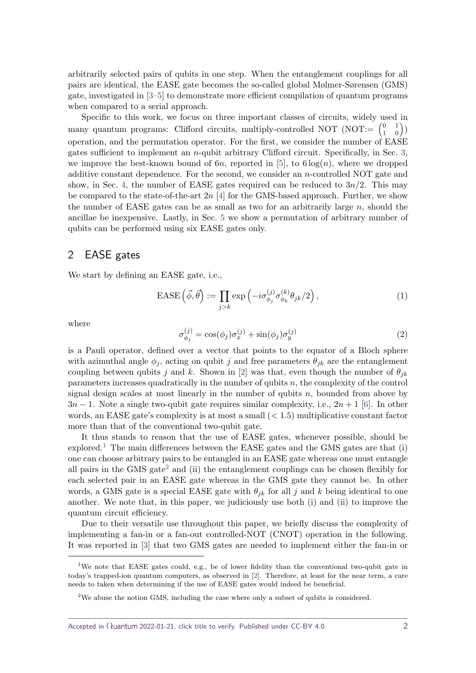arbitrarily selected pairs of qubits in one step. When the entanglement couplings for all pairs are identical, the EASE gate becomes the so-called global Mølmer-Sørensen (GMS) gate, investigated in [\[3–](#page-8-2)[5\]](#page-8-3) to demonstrate more efficient compilation of quantum programs when compared to a serial approach.

Specific to this work, we focus on three important classes of circuits, widely used in many quantum programs: Clifford circuits, multiply-controlled NOT (NOT: $=\begin{pmatrix} 0 & 1 \\ 1 & 0 \end{pmatrix}$ ) operation, and the permutation operator. For the first, we consider the number of EASE gates sufficient to implement an *n*-qubit arbitrary Clifford circuit. Specifically, in Sec. [3,](#page-2-0) we improve the best-known bound of  $6n$ , reported in [\[5\]](#page-8-3), to  $6 \log(n)$ , where we dropped additive constant dependence. For the second, we consider an *n*-controlled NOT gate and show, in Sec. [4,](#page-4-0) the number of EASE gates required can be reduced to  $3n/2$ . This may be compared to the state-of-the-art 2*n* [\[4\]](#page-8-4) for the GMS-based approach. Further, we show the number of EASE gates can be as small as two for an arbitrarily large *n*, should the ancillae be inexpensive. Lastly, in Sec. [5](#page-7-0) we show a permutation of arbitrary number of qubits can be performed using six EASE gates only.

## <span id="page-1-0"></span>2 EASE gates

We start by defining an EASE gate, i.e.,

$$
\text{EASE}\left(\vec{\phi},\vec{\theta}\right) := \prod_{j>k} \exp\left(-i\sigma_{\phi_j}^{(j)}\sigma_{\phi_k}^{(k)}\theta_{jk}/2\right),\tag{1}
$$

where

$$
\sigma_{\phi_j}^{(j)} = \cos(\phi_j)\sigma_x^{(j)} + \sin(\phi_j)\sigma_y^{(j)}
$$
\n(2)

is a Pauli operator, defined over a vector that points to the equator of a Bloch sphere with azimuthal angle  $\phi_j$ , acting on qubit *j* and free parameters  $\theta_{jk}$  are the entanglement coupling between qubits *j* and *k*. Shown in [\[2\]](#page-8-1) was that, even though the number of  $\theta_{ik}$ parameters increases quadratically in the number of qubits *n*, the complexity of the control signal design scales at most linearly in the number of qubits *n*, bounded from above by 3*n* − 1. Note a single two-qubit gate requires similar complexity, i.e., 2*n* + 1 [\[6\]](#page-8-5). In other words, an EASE gate's complexity is at most a small (*<* 1*.*5) multiplicative constant factor more than that of the conventional two-qubit gate.

It thus stands to reason that the use of EASE gates, whenever possible, should be explored.<sup>[1](#page-1-1)</sup> The main differences between the EASE gates and the GMS gates are that (i) one can choose arbitrary pairs to be entangled in an EASE gate whereas one must entangle all pairs in the GMS gate<sup>[2](#page-1-2)</sup> and (ii) the entanglement couplings can be chosen flexibly for each selected pair in an EASE gate whereas in the GMS gate they cannot be. In other words, a GMS gate is a special EASE gate with  $\theta_{jk}$  for all *j* and *k* being identical to one another. We note that, in this paper, we judiciously use both (i) and (ii) to improve the quantum circuit efficiency.

Due to their versatile use throughout this paper, we briefly discuss the complexity of implementing a fan-in or a fan-out controlled-NOT (CNOT) operation in the following. It was reported in [\[3\]](#page-8-2) that two GMS gates are needed to implement either the fan-in or

<span id="page-1-1"></span><sup>&</sup>lt;sup>1</sup>We note that EASE gates could, e.g., be of lower fidelity than the conventional two-qubit gate in today's trapped-ion quantum computers, as observed in [\[2\]](#page-8-1). Therefore, at least for the near term, a care needs to taken when determining if the use of EASE gates would indeed be beneficial.

<span id="page-1-2"></span><sup>2</sup>We abuse the notion GMS, including the case where only a subset of qubits is considered.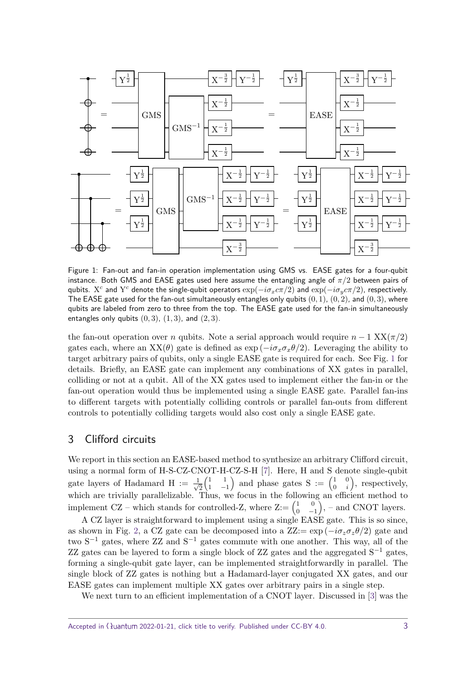<span id="page-2-1"></span>

Figure 1: Fan-out and fan-in operation implementation using GMS vs. EASE gates for a four-qubit instance. Both GMS and EASE gates used here assume the entangling angle of *π/*2 between pairs of  $q$ ubits.  $X^c$  and  $Y^c$  denote the single-qubit operators  $\exp(-i\sigma_x c \pi/2)$  and  $\exp(-i\sigma_y c \pi/2)$ , respectively. The EASE gate used for the fan-out simultaneously entangles only qubits (0*,* 1), (0*,* 2), and (0*,* 3), where qubits are labeled from zero to three from the top. The EASE gate used for the fan-in simultaneously entangles only qubits (0*,* 3), (1*,* 3), and (2*,* 3).

the fan-out operation over *n* qubits. Note a serial approach would require  $n-1$  XX( $\pi/2$ ) gates each, where an  $XX(\theta)$  gate is defined as  $\exp(-i\sigma_x\sigma_x\theta/2)$ . Leveraging the ability to target arbitrary pairs of qubits, only a single EASE gate is required for each. See Fig. [1](#page-2-1) for details. Briefly, an EASE gate can implement any combinations of XX gates in parallel, colliding or not at a qubit. All of the XX gates used to implement either the fan-in or the fan-out operation would thus be implemented using a single EASE gate. Parallel fan-ins to different targets with potentially colliding controls or parallel fan-outs from different controls to potentially colliding targets would also cost only a single EASE gate.

## <span id="page-2-0"></span>3 Clifford circuits

We report in this section an EASE-based method to synthesize an arbitrary Clifford circuit, using a normal form of H-S-CZ-CNOT-H-CZ-S-H [\[7\]](#page-8-6). Here, H and S denote single-qubit gate layers of Hadamard H :=  $\frac{1}{\sqrt{2}}$ 2  $\begin{pmatrix} 1 & 1 \end{pmatrix}$  $\begin{pmatrix} 1 & 1 \\ 1 & -1 \end{pmatrix}$  and phase gates S :=  $\begin{pmatrix} 1 & 0 \\ 0 & i \end{pmatrix}$  $\begin{pmatrix} 1 & 0 \\ 0 & i \end{pmatrix}$ , respectively, which are trivially parallelizable. Thus, we focus in the following an efficient method to implement CZ – which stands for controlled-Z, where  $Z := \begin{pmatrix} 1 & 0 \\ 0 & -1 \end{pmatrix}$  $\begin{pmatrix} 1 & 0 \\ 0 & -1 \end{pmatrix}$ , – and CNOT layers.

A CZ layer is straightforward to implement using a single EASE gate. This is so since, as shown in Fig. [2,](#page-3-0) a CZ gate can be decomposed into a  $\text{ZZ}:= \exp(-i\sigma_z \sigma_z \theta/2)$  gate and two  $S^{-1}$  gates, where ZZ and  $S^{-1}$  gates commute with one another. This way, all of the ZZ gates can be layered to form a single block of ZZ gates and the aggregated  $S^{-1}$  gates, forming a single-qubit gate layer, can be implemented straightforwardly in parallel. The single block of ZZ gates is nothing but a Hadamard-layer conjugated XX gates, and our EASE gates can implement multiple XX gates over arbitrary pairs in a single step.

We next turn to an efficient implementation of a CNOT layer. Discussed in [\[3\]](#page-8-2) was the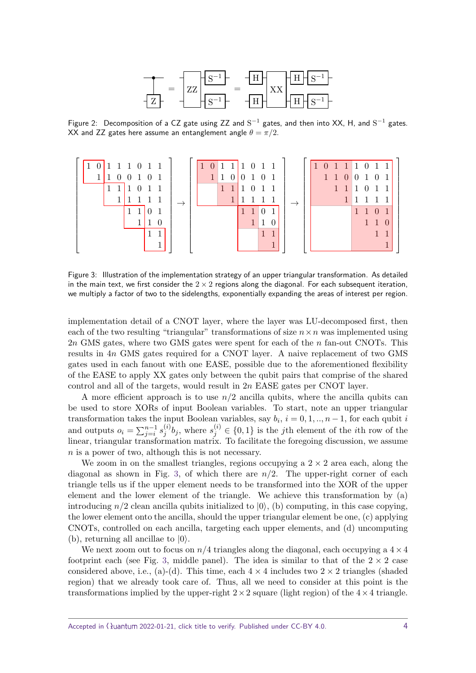

<span id="page-3-0"></span>Figure 2: Decomposition of a CZ gate using ZZ and  $S^{-1}$  gates, and then into XX, H, and  $S^{-1}$  gates. XX and ZZ gates here assume an entanglement angle  $\theta = \pi/2$ .

<span id="page-3-1"></span>

Figure 3: Illustration of the implementation strategy of an upper triangular transformation. As detailed in the main text, we first consider the  $2 \times 2$  regions along the diagonal. For each subsequent iteration, we multiply a factor of two to the sidelengths, exponentially expanding the areas of interest per region.

implementation detail of a CNOT layer, where the layer was LU-decomposed first, then each of the two resulting "triangular" transformations of size  $n \times n$  was implemented using 2*n* GMS gates, where two GMS gates were spent for each of the *n* fan-out CNOTs. This results in 4*n* GMS gates required for a CNOT layer. A naive replacement of two GMS gates used in each fanout with one EASE, possible due to the aforementioned flexibility of the EASE to apply XX gates only between the qubit pairs that comprise of the shared control and all of the targets, would result in 2*n* EASE gates per CNOT layer.

A more efficient approach is to use  $n/2$  ancilla qubits, where the ancilla qubits can be used to store XORs of input Boolean variables. To start, note an upper triangular transformation takes the input Boolean variables, say  $b_i$ ,  $i = 0, 1, ..., n - 1$ , for each qubit *i* and outputs  $o_i = \sum_{j=i}^{n-1} s_j^{(i)}$  $j^{(i)}$ , where  $s_j^{(i)} \in \{0,1\}$  is the *j*th element of the *i*th row of the linear, triangular transformation matrix. To facilitate the foregoing discussion, we assume *n* is a power of two, although this is not necessary.

We zoom in on the smallest triangles, regions occupying a  $2 \times 2$  area each, along the diagonal as shown in Fig. [3,](#page-3-1) of which there are *n/*2. The upper-right corner of each triangle tells us if the upper element needs to be transformed into the XOR of the upper element and the lower element of the triangle. We achieve this transformation by (a) introducing  $n/2$  clean ancilla qubits initialized to  $|0\rangle$ , (b) computing, in this case copying, the lower element onto the ancilla, should the upper triangular element be one, (c) applying CNOTs, controlled on each ancilla, targeting each upper elements, and (d) uncomputing (b), returning all ancillae to  $|0\rangle$ .

We next zoom out to focus on  $n/4$  triangles along the diagonal, each occupying a  $4 \times 4$ footprint each (see Fig. [3,](#page-3-1) middle panel). The idea is similar to that of the  $2 \times 2$  case considered above, i.e., (a)-(d). This time, each  $4 \times 4$  includes two  $2 \times 2$  triangles (shaded region) that we already took care of. Thus, all we need to consider at this point is the transformations implied by the upper-right  $2 \times 2$  square (light region) of the  $4 \times 4$  triangle.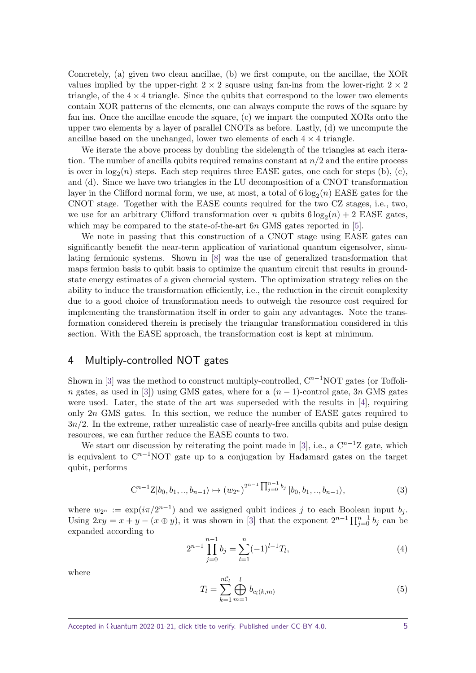Concretely, (a) given two clean ancillae, (b) we first compute, on the ancillae, the XOR values implied by the upper-right  $2 \times 2$  square using fan-ins from the lower-right  $2 \times 2$ triangle, of the  $4 \times 4$  triangle. Since the qubits that correspond to the lower two elements contain XOR patterns of the elements, one can always compute the rows of the square by fan ins. Once the ancillae encode the square, (c) we impart the computed XORs onto the upper two elements by a layer of parallel CNOTs as before. Lastly, (d) we uncompute the ancillae based on the unchanged, lower two elements of each  $4 \times 4$  triangle.

We iterate the above process by doubling the sidelength of the triangles at each iteration. The number of ancilla qubits required remains constant at *n/*2 and the entire process is over in  $log_2(n)$  steps. Each step requires three EASE gates, one each for steps (b), (c), and (d). Since we have two triangles in the LU decomposition of a CNOT transformation layer in the Clifford normal form, we use, at most, a total of  $6 \log_2(n)$  EASE gates for the CNOT stage. Together with the EASE counts required for the two CZ stages, i.e., two, we use for an arbitrary Clifford transformation over *n* qubits  $6 \log_2(n) + 2$  EASE gates, which may be compared to the state-of-the-art 6*n* GMS gates reported in [\[5\]](#page-8-3).

We note in passing that this construction of a CNOT stage using EASE gates can significantly benefit the near-term application of variational quantum eigensolver, simulating fermionic systems. Shown in [\[8\]](#page-8-7) was the use of generalized transformation that maps fermion basis to qubit basis to optimize the quantum circuit that results in groundstate energy estimates of a given chemcial system. The optimization strategy relies on the ability to induce the transformation efficiently, i.e., the reduction in the circuit complexity due to a good choice of transformation needs to outweigh the resource cost required for implementing the transformation itself in order to gain any advantages. Note the transformation considered therein is precisely the triangular transformation considered in this section. With the EASE approach, the transformation cost is kept at minimum.

## <span id="page-4-0"></span>4 Multiply-controlled NOT gates

Shown in [\[3\]](#page-8-2) was the method to construct multiply-controlled,  $C^{n-1}NOT$  gates (or Toffoli*n* gates, as used in [\[3\]](#page-8-2)) using GMS gates, where for a  $(n-1)$ -control gate, 3*n* GMS gates were used. Later, the state of the art was superseded with the results in [\[4\]](#page-8-4), requiring only 2*n* GMS gates. In this section, we reduce the number of EASE gates required to  $3n/2$ . In the extreme, rather unrealistic case of nearly-free ancilla qubits and pulse design resources, we can further reduce the EASE counts to two.

We start our discussion by reiterating the point made in [\[3\]](#page-8-2), i.e., a  $C^{n-1}Z$  gate, which is equivalent to  $C^{n-1}NOT$  gate up to a conjugation by Hadamard gates on the target qubit, performs

$$
C^{n-1}Z|b_0, b_1, ..., b_{n-1}\rangle \mapsto (w_{2^n})^{2^{n-1}} \prod_{j=0}^{n-1} b_j |b_0, b_1, ..., b_{n-1}\rangle,
$$
\n(3)

where  $w_{2^n} := \exp(i\pi/2^{n-1})$  and we assigned qubit indices *j* to each Boolean input  $b_j$ . Using  $2xy = x + y - (x \oplus y)$ , it was shown in [\[3\]](#page-8-2) that the exponent  $2^{n-1} \prod_{j=0}^{n-1} b_j$  can be expanded according to

$$
2^{n-1} \prod_{j=0}^{n-1} b_j = \sum_{l=1}^{n} (-1)^{l-1} T_l,
$$
\n(4)

where

$$
T_l = \sum_{k=1}^{nC_l} \bigoplus_{m=1}^l b_{c_l(k,m)}
$$
(5)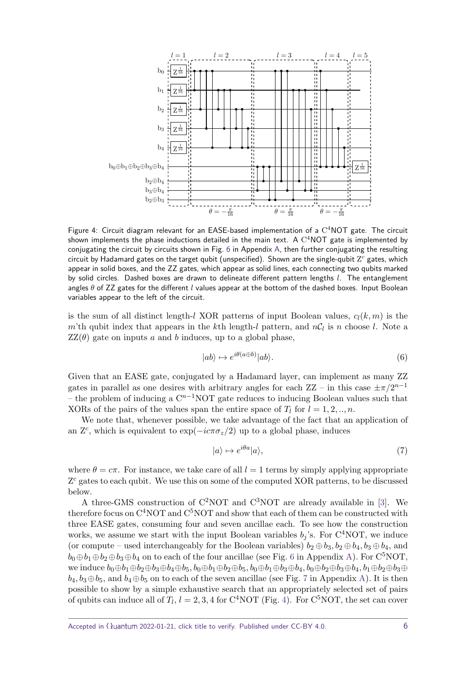<span id="page-5-0"></span>

Figure 4: Circuit diagram relevant for an EASE-based implementation of a  $C<sup>4</sup> NOT$  gate. The circuit shown implements the phase inductions detailed in the main text.  $\mathsf A$   $\mathrm C^4\mathsf{NOT}$  gate is implemented by conjugating the circuit by circuits shown in Fig. [6](#page-9-0) in Appendix [A,](#page-9-1) then further conjugating the resulting circuit by Hadamard gates on the target qubit (unspecified). Shown are the single-qubit  ${\rm Z}^c$  gates, which appear in solid boxes, and the ZZ gates, which appear as solid lines, each connecting two qubits marked by solid circles. Dashed boxes are drawn to delineate different pattern lengths *l*. The entanglement angles *θ* of ZZ gates for the different *l* values appear at the bottom of the dashed boxes. Input Boolean variables appear to the left of the circuit.

is the sum of all distinct length-*l* XOR patterns of input Boolean values, *cl*(*k, m*) is the *m*'th qubit index that appears in the *k*th length-*l* pattern, and  $nC_l$  is *n* choose *l*. Note a  $ZZ(\theta)$  gate on inputs *a* and *b* induces, up to a global phase,

$$
|ab\rangle \mapsto e^{i\theta(a \oplus b)}|ab\rangle. \tag{6}
$$

Given that an EASE gate, conjugated by a Hadamard layer, can implement as many ZZ gates in parallel as one desires with arbitrary angles for each  $ZZ - in$  this case  $\pm \pi/2^{n-1}$ – the problem of inducing a C *<sup>n</sup>*−1NOT gate reduces to inducing Boolean values such that XORs of the pairs of the values span the entire space of  $T_l$  for  $l = 1, 2, ..., n$ .

We note that, whenever possible, we take advantage of the fact that an application of an  $\mathbb{Z}^c$ , which is equivalent to  $\exp(-i c \pi \sigma_z/2)$  up to a global phase, induces

$$
|a\rangle \mapsto e^{i\theta a}|a\rangle,\tag{7}
$$

where  $\theta = c\pi$ . For instance, we take care of all  $l = 1$  terms by simply applying appropriate Z<sup>c</sup> gates to each qubit. We use this on some of the computed XOR patterns, to be discussed below.

A three-GMS construction of  $C^2NOT$  and  $C^3NOT$  are already available in [\[3\]](#page-8-2). We therefore focus on  $\mathrm{C}^4\mathrm{NOT}$  and  $\mathrm{C}^5\mathrm{NOT}$  and show that each of them can be constructed with three EASE gates, consuming four and seven ancillae each. To see how the construction works, we assume we start with the input Boolean variables  $b_j$ 's. For C<sup>4</sup>NOT, we induce (or compute – used interchangeably for the Boolean variables)  $b_2 \oplus b_3$ ,  $b_2 \oplus b_4$ ,  $b_3 \oplus b_4$ , and  $b_0 \oplus b_1 \oplus b_2 \oplus b_3 \oplus b_4$  on to each of the four ancillae (see Fig. [6](#page-9-0) in Appendix [A\)](#page-9-1). For C<sup>5</sup>NOT,  $w$ e induce  $b_0 ⊕ b_1 ⊕ b_2 ⊕ b_3 ⊕ b_4 ⊕ b_5$ ,  $b_0 ⊕ b_1 ⊕ b_2 ⊕ b_5$ ,  $b_0 ⊕ b_1 ⊕ b_3 ⊕ b_4$ ,  $b_0 ⊕ b_2 ⊕ b_3 ⊕ b_4$ ,  $b_1 ⊕ b_2 ⊕ b_3 ⊕ b_5$  $b_4, b_3 \oplus b_5$ , and  $b_4 \oplus b_5$  on to each of the seven ancillae (see Fig. [7](#page-9-2) in Appendix [A\)](#page-9-1). It is then possible to show by a simple exhaustive search that an appropriately selected set of pairs of qubits can induce all of  $T_l$ ,  $l = 2, 3, 4$  for C<sup>4</sup>NOT (Fig. [4\)](#page-5-0). For C<sup>5</sup>NOT, the set can cover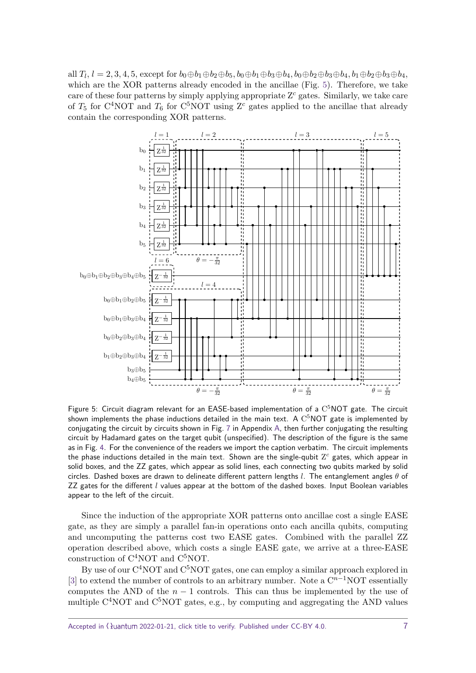all  $T_l$ ,  $l = 2, 3, 4, 5$ , except for  $b_0 \oplus b_1 \oplus b_2 \oplus b_5$ ,  $b_0 \oplus b_1 \oplus b_3 \oplus b_4$ ,  $b_0 \oplus b_2 \oplus b_3 \oplus b_4$ ,  $b_1 \oplus b_2 \oplus b_3 \oplus b_4$ , which are the XOR patterns already encoded in the ancillae (Fig. [5\)](#page-6-0). Therefore, we take care of these four patterns by simply applying appropriate Z *<sup>c</sup>* gates. Similarly, we take care of  $T_5$  for C<sup>4</sup>NOT and  $T_6$  for C<sup>5</sup>NOT using Z<sup>c</sup> gates applied to the ancillae that already contain the corresponding XOR patterns.

<span id="page-6-0"></span>

Figure 5: Circuit diagram relevant for an EASE-based implementation of a  $C^5NOT$  gate. The circuit shown implements the phase inductions detailed in the main text.  $\mathsf A~\mathrm{C}^5\mathsf{NOT}$  gate is implemented by conjugating the circuit by circuits shown in Fig. [7](#page-9-2) in Appendix [A,](#page-9-1) then further conjugating the resulting circuit by Hadamard gates on the target qubit (unspecified). The description of the figure is the same as in Fig. [4.](#page-5-0) For the convenience of the readers we import the caption verbatim. The circuit implements the phase inductions detailed in the main text. Shown are the single-qubit Z *<sup>c</sup>* gates, which appear in solid boxes, and the ZZ gates, which appear as solid lines, each connecting two qubits marked by solid circles. Dashed boxes are drawn to delineate different pattern lengths *l*. The entanglement angles *θ* of ZZ gates for the different *l* values appear at the bottom of the dashed boxes. Input Boolean variables appear to the left of the circuit.

Since the induction of the appropriate XOR patterns onto ancillae cost a single EASE gate, as they are simply a parallel fan-in operations onto each ancilla qubits, computing and uncomputing the patterns cost two EASE gates. Combined with the parallel ZZ operation described above, which costs a single EASE gate, we arrive at a three-EASE construction of  $C^{4}NOT$  and  $C^{5}NOT$ .

By use of our C<sup>4</sup>NOT and C<sup>5</sup>NOT gates, one can employ a similar approach explored in [\[3\]](#page-8-2) to extend the number of controls to an arbitrary number. Note a  $\mathbb{C}^{n-1}$ NOT essentially computes the AND of the  $n-1$  controls. This can thus be implemented by the use of multiple C<sup>4</sup>NOT and C<sup>5</sup>NOT gates, e.g., by computing and aggregating the AND values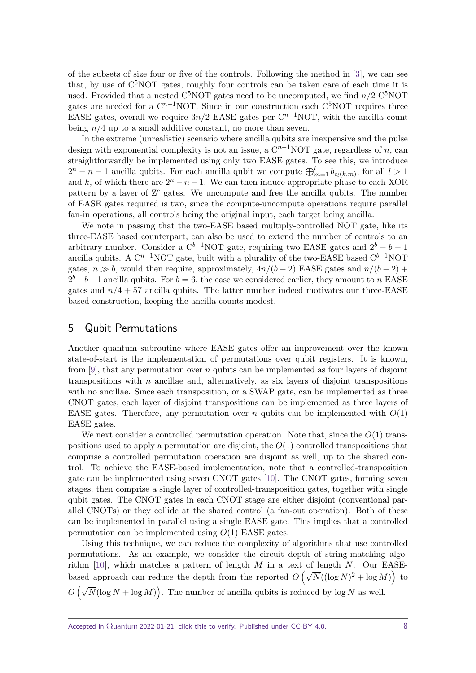of the subsets of size four or five of the controls. Following the method in [\[3\]](#page-8-2), we can see that, by use of C <sup>5</sup>NOT gates, roughly four controls can be taken care of each time it is used. Provided that a nested C<sup>5</sup>NOT gates need to be uncomputed, we find  $n/2$  C<sup>5</sup>NOT gates are needed for a  $C^{n-1}NOT$ . Since in our construction each  $C^5NOT$  requires three EASE gates, overall we require  $3n/2$  EASE gates per  $C^{n-1}NOT$ , with the ancilla count being *n/*4 up to a small additive constant, no more than seven.

In the extreme (unrealistic) scenario where ancilla qubits are inexpensive and the pulse design with exponential complexity is not an issue, a  $C^{n-1}NOT$  gate, regardless of *n*, can straightforwardly be implemented using only two EASE gates. To see this, we introduce  $2^n - n - 1$  ancilla qubits. For each ancilla qubit we compute  $\bigoplus_{m=1}^l b_{c_l(k,m)}$ , for all  $l > 1$ and *k*, of which there are  $2^n - n - 1$ . We can then induce appropriate phase to each XOR pattern by a layer of  $\mathbb{Z}^c$  gates. We uncompute and free the ancilla qubits. The number of EASE gates required is two, since the compute-uncompute operations require parallel fan-in operations, all controls being the original input, each target being ancilla.

We note in passing that the two-EASE based multiply-controlled NOT gate, like its three-EASE based counterpart, can also be used to extend the number of controls to an arbitrary number. Consider a  $C^{b-1}NOT$  gate, requiring two EASE gates and  $2^b - b - 1$ ancilla qubits. A  $C^{n-1}NOT$  gate, built with a plurality of the two-EASE based  $C^{b-1}NOT$ gates,  $n \gg b$ , would then require, approximately,  $4n/(b-2)$  EASE gates and  $n/(b-2)$  +  $2^b - b - 1$  ancilla qubits. For  $b = 6$ , the case we considered earlier, they amount to *n* EASE gates and  $n/4 + 57$  ancilla qubits. The latter number indeed motivates our three-EASE based construction, keeping the ancilla counts modest.

### <span id="page-7-0"></span>5 Qubit Permutations

Another quantum subroutine where EASE gates offer an improvement over the known state-of-start is the implementation of permutations over qubit registers. It is known, from [\[9\]](#page-8-8), that any permutation over *n* qubits can be implemented as four layers of disjoint transpositions with *n* ancillae and, alternatively, as six layers of disjoint transpositions with no ancillae. Since each transposition, or a SWAP gate, can be implemented as three CNOT gates, each layer of disjoint transpositions can be implemented as three layers of EASE gates. Therefore, any permutation over *n* qubits can be implemented with  $O(1)$ EASE gates.

We next consider a controlled permutation operation. Note that, since the *O*(1) transpositions used to apply a permutation are disjoint, the *O*(1) controlled transpositions that comprise a controlled permutation operation are disjoint as well, up to the shared control. To achieve the EASE-based implementation, note that a controlled-transposition gate can be implemented using seven CNOT gates [\[10\]](#page-8-9). The CNOT gates, forming seven stages, then comprise a single layer of controlled-transposition gates, together with single qubit gates. The CNOT gates in each CNOT stage are either disjoint (conventional parallel CNOTs) or they collide at the shared control (a fan-out operation). Both of these can be implemented in parallel using a single EASE gate. This implies that a controlled permutation can be implemented using *O*(1) EASE gates.

Using this technique, we can reduce the complexity of algorithms that use controlled permutations. As an example, we consider the circuit depth of string-matching algorithm [\[10\]](#page-8-9), which matches a pattern of length *M* in a text of length *N*. Our EASEbased approach can reduce the depth from the reported  $O(\sqrt{N}((\log N)^2 + \log M))$  to  $O(\sqrt{N}(\log N + \log M))$ . The number of ancilla qubits is reduced by  $\log N$  as well.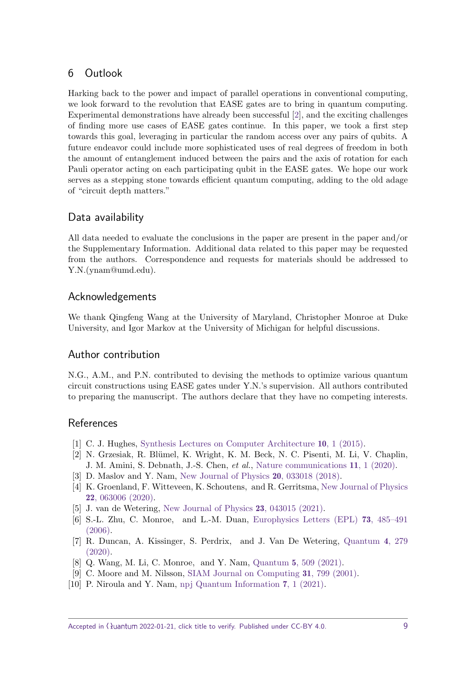# 6 Outlook

Harking back to the power and impact of parallel operations in conventional computing, we look forward to the revolution that EASE gates are to bring in quantum computing. Experimental demonstrations have already been successful [\[2\]](#page-8-1), and the exciting challenges of finding more use cases of EASE gates continue. In this paper, we took a first step towards this goal, leveraging in particular the random access over any pairs of qubits. A future endeavor could include more sophisticated uses of real degrees of freedom in both the amount of entanglement induced between the pairs and the axis of rotation for each Pauli operator acting on each participating qubit in the EASE gates. We hope our work serves as a stepping stone towards efficient quantum computing, adding to the old adage of "circuit depth matters."

# Data availability

All data needed to evaluate the conclusions in the paper are present in the paper and/or the Supplementary Information. Additional data related to this paper may be requested from the authors. Correspondence and requests for materials should be addressed to Y.N.(ynam@umd.edu).

# Acknowledgements

We thank Qingfeng Wang at the University of Maryland, Christopher Monroe at Duke University, and Igor Markov at the University of Michigan for helpful discussions.

# Author contribution

N.G., A.M., and P.N. contributed to devising the methods to optimize various quantum circuit constructions using EASE gates under Y.N.'s supervision. All authors contributed to preparing the manuscript. The authors declare that they have no competing interests.

# **References**

- <span id="page-8-0"></span>[1] C. J. Hughes, [Synthesis Lectures on Computer Architecture](http://dx.doi.org/10.2200/S00647ED1V01Y201505CAC032) 10, 1 (2015).
- <span id="page-8-1"></span>[2] N. Grzesiak, R. Blümel, K. Wright, K. M. Beck, N. C. Pisenti, M. Li, V. Chaplin, J. M. Amini, S. Debnath, J.-S. Chen, et al., [Nature communications](http://dx.doi.org/10.1038/s41467-020-16790-9) 11, 1 (2020).
- <span id="page-8-2"></span>[3] D. Maslov and Y. Nam, [New Journal of Physics](http://dx.doi.org/10.1088/1367-2630/aaa398) 20, 033018 (2018).
- <span id="page-8-4"></span>[4] K. Groenland, F. Witteveen, K. Schoutens, and R. Gerritsma, [New Journal of Physics](http://dx.doi.org/10.1088/1367-2630/ab8830) 22[, 063006 \(2020\).](http://dx.doi.org/10.1088/1367-2630/ab8830)
- <span id="page-8-3"></span>[5] J. van de Wetering, [New Journal of Physics](http://dx.doi.org/10.1088/1367-2630/abf1b3) 23, 043015 (2021).
- <span id="page-8-5"></span>[6] S.-L. Zhu, C. Monroe, and L.-M. Duan, [Europhysics Letters \(EPL\)](http://dx.doi.org/10.1209/epl/i2005-10424-4) 73, 485–491 [\(2006\).](http://dx.doi.org/10.1209/epl/i2005-10424-4)
- <span id="page-8-6"></span>[7] R. Duncan, A. Kissinger, S. Perdrix, and J. Van De Wetering, [Quantum](http://dx.doi.org/10.22331/q-2020-06-04-279) 4, 279 [\(2020\).](http://dx.doi.org/10.22331/q-2020-06-04-279)
- <span id="page-8-7"></span>[8] Q. Wang, M. Li, C. Monroe, and Y. Nam, Quantum 5[, 509 \(2021\).](http://dx.doi.org/ 10.22331/q-2021-07-26-509)
- <span id="page-8-8"></span>[9] C. Moore and M. Nilsson, [SIAM Journal on Computing](http://dx.doi.org/10.1137/S0097539799355053) 31, 799 (2001).
- <span id="page-8-9"></span>[10] P. Niroula and Y. Nam, [npj Quantum Information](http://dx.doi.org/10.1038/s41534-021-00369-3) 7, 1 (2021).